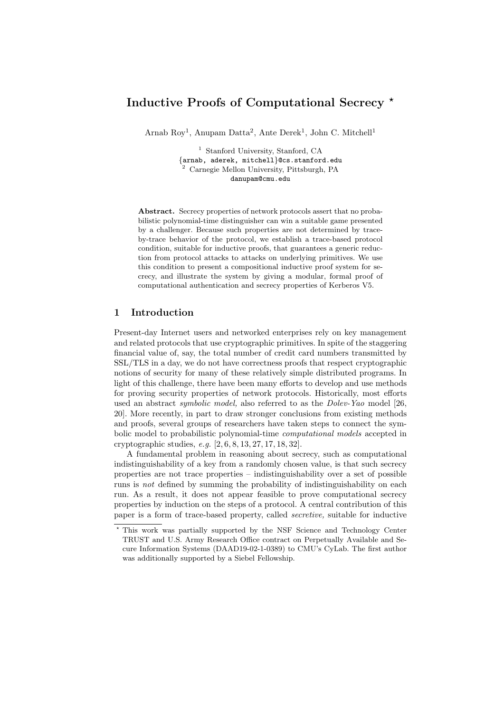# Inductive Proofs of Computational Secrecy ?

Arnab Roy<sup>1</sup>, Anupam Datta<sup>2</sup>, Ante Derek<sup>1</sup>, John C. Mitchell<sup>1</sup>

<sup>1</sup> Stanford University, Stanford, CA {arnab, aderek, mitchell}@cs.stanford.edu <sup>2</sup> Carnegie Mellon University, Pittsburgh, PA danupam@cmu.edu

Abstract. Secrecy properties of network protocols assert that no probabilistic polynomial-time distinguisher can win a suitable game presented by a challenger. Because such properties are not determined by traceby-trace behavior of the protocol, we establish a trace-based protocol condition, suitable for inductive proofs, that guarantees a generic reduction from protocol attacks to attacks on underlying primitives. We use this condition to present a compositional inductive proof system for secrecy, and illustrate the system by giving a modular, formal proof of computational authentication and secrecy properties of Kerberos V5.

## 1 Introduction

Present-day Internet users and networked enterprises rely on key management and related protocols that use cryptographic primitives. In spite of the staggering financial value of, say, the total number of credit card numbers transmitted by SSL/TLS in a day, we do not have correctness proofs that respect cryptographic notions of security for many of these relatively simple distributed programs. In light of this challenge, there have been many efforts to develop and use methods for proving security properties of network protocols. Historically, most efforts used an abstract *symbolic model*, also referred to as the *Dolev-Yao* model [26, 20]. More recently, in part to draw stronger conclusions from existing methods and proofs, several groups of researchers have taken steps to connect the symbolic model to probabilistic polynomial-time computational models accepted in cryptographic studies, e.g. [2, 6, 8, 13, 27, 17, 18, 32].

A fundamental problem in reasoning about secrecy, such as computational indistinguishability of a key from a randomly chosen value, is that such secrecy properties are not trace properties – indistinguishability over a set of possible runs is not defined by summing the probability of indistinguishability on each run. As a result, it does not appear feasible to prove computational secrecy properties by induction on the steps of a protocol. A central contribution of this paper is a form of trace-based property, called secretive, suitable for inductive

<sup>?</sup> This work was partially supported by the NSF Science and Technology Center TRUST and U.S. Army Research Office contract on Perpetually Available and Secure Information Systems (DAAD19-02-1-0389) to CMU's CyLab. The first author was additionally supported by a Siebel Fellowship.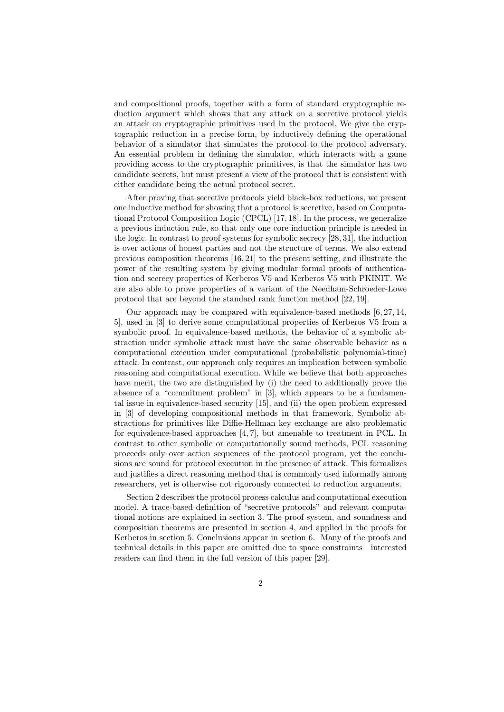and compositional proofs, together with a form of standard cryptographic reduction argument which shows that any attack on a secretive protocol yields an attack on cryptographic primitives used in the protocol. We give the cryptographic reduction in a precise form, by inductively defining the operational behavior of a simulator that simulates the protocol to the protocol adversary. An essential problem in defining the simulator, which interacts with a game providing access to the cryptographic primitives, is that the simulator has two candidate secrets, but must present a view of the protocol that is consistent with either candidate being the actual protocol secret.

After proving that secretive protocols yield black-box reductions, we present one inductive method for showing that a protocol is secretive, based on Computational Protocol Composition Logic (CPCL) [17, 18]. In the process, we generalize a previous induction rule, so that only one core induction principle is needed in the logic. In contrast to proof systems for symbolic secrecy [28, 31], the induction is over actions of honest parties and not the structure of terms. We also extend previous composition theorems [16, 21] to the present setting, and illustrate the power of the resulting system by giving modular formal proofs of authentication and secrecy properties of Kerberos V5 and Kerberos V5 with PKINIT. We are also able to prove properties of a variant of the Needham-Schroeder-Lowe protocol that are beyond the standard rank function method [22, 19].

Our approach may be compared with equivalence-based methods [6, 27, 14, 5], used in [3] to derive some computational properties of Kerberos V5 from a symbolic proof. In equivalence-based methods, the behavior of a symbolic abstraction under symbolic attack must have the same observable behavior as a computational execution under computational (probabilistic polynomial-time) attack. In contrast, our approach only requires an implication between symbolic reasoning and computational execution. While we believe that both approaches have merit, the two are distinguished by (i) the need to additionally prove the absence of a "commitment problem" in [3], which appears to be a fundamental issue in equivalence-based security [15], and (ii) the open problem expressed in [3] of developing compositional methods in that framework. Symbolic abstractions for primitives like Diffie-Hellman key exchange are also problematic for equivalence-based approaches [4, 7], but amenable to treatment in PCL. In contrast to other symbolic or computationally sound methods, PCL reasoning proceeds only over action sequences of the protocol program, yet the conclusions are sound for protocol execution in the presence of attack. This formalizes and justifies a direct reasoning method that is commonly used informally among researchers, yet is otherwise not rigorously connected to reduction arguments.

Section 2 describes the protocol process calculus and computational execution model. A trace-based definition of "secretive protocols" and relevant computational notions are explained in section 3. The proof system, and soundness and composition theorems are presented in section 4, and applied in the proofs for Kerberos in section 5. Conclusions appear in section 6. Many of the proofs and technical details in this paper are omitted due to space constraints—interested readers can find them in the full version of this paper [29].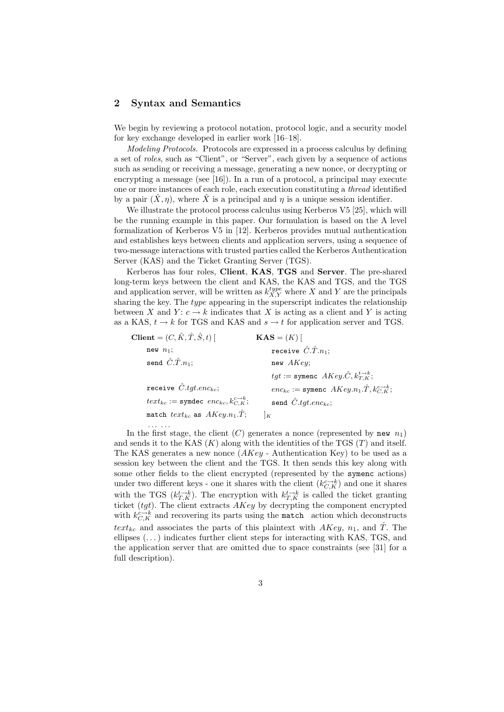### 2 Syntax and Semantics

We begin by reviewing a protocol notation, protocol logic, and a security model for key exchange developed in earlier work [16–18].

Modeling Protocols. Protocols are expressed in a process calculus by defining a set of roles, such as "Client", or "Server", each given by a sequence of actions such as sending or receiving a message, generating a new nonce, or decrypting or encrypting a message (see [16]). In a run of a protocol, a principal may execute one or more instances of each role, each execution constituting a thread identified by a pair  $(\hat{X}, \eta)$ , where  $\hat{X}$  is a principal and  $\eta$  is a unique session identifier.

We illustrate the protocol process calculus using Kerberos V5 [25], which will be the running example in this paper. Our formulation is based on the A level formalization of Kerberos V5 in [12]. Kerberos provides mutual authentication and establishes keys between clients and application servers, using a sequence of two-message interactions with trusted parties called the Kerberos Authentication Server (KAS) and the Ticket Granting Server (TGS).

Kerberos has four roles, Client, KAS, TGS and Server. The pre-shared long-term keys between the client and KAS, the KAS and TGS, and the TGS and application server, will be written as  $k_{X,Y}^{type}$  where X and Y are the principals sharing the key. The *type* appearing in the superscript indicates the relationship between X and Y:  $c \to k$  indicates that X is acting as a client and Y is acting as a KAS,  $t \to k$  for TGS and KAS and  $s \to t$  for application server and TGS.

| Client = $(C, \hat{K}, \hat{T}, \hat{S}, t)$ [                        | $\mathbf{KAS} = (K)$                                               |
|-----------------------------------------------------------------------|--------------------------------------------------------------------|
| new $n_1$ ;                                                           | receive $\hat{C}.\hat{T}.n_1;$                                     |
| send $\hat{C}.\hat{T}.n_1;$                                           | new $AKey$ ;                                                       |
|                                                                       | $tgt :=$ symenc $AKey.\hat{C}, k_{TK}^{t\rightarrow k};$           |
| receive $\hat{C}.tqt. enc_{kc};$                                      | $enc_{kc} :=$ symenc $AKey.n_1.\hat{T}, k_{C,K}^{c\rightarrow k};$ |
| $text_{kc} := \texttt{symdec} \ enc_{kc}, k_{C,K}^{c \rightarrow k};$ | send $\ddot{C}.tqt. enc_{kc}$ ;                                    |
| match $text_{kc}$ as $AKey.n_1.\hat{T}$ ;                             | $\overline{\mathcal{K}}$                                           |
|                                                                       |                                                                    |

In the first stage, the client  $(C)$  generates a nonce (represented by new  $n_1$ ) and sends it to the KAS  $(K)$  along with the identities of the TGS  $(T)$  and itself. The KAS generates a new nonce  $(AKey - Authentication Key)$  to be used as a session key between the client and the TGS. It then sends this key along with some other fields to the client encrypted (represented by the symenc actions) under two different keys - one it shares with the client  $(k_{C,K}^{c\rightarrow k})$  and one it shares with the TGS  $(k_{T,K}^{t\to k})$ . The encryption with  $k_{T,K}^{t\to k}$  is called the ticket granting ticket  $(tgt)$ . The client extracts  $AKey$  by decrypting the component encrypted with  $k_{C,K}^{c\rightarrow k}$  and recovering its parts using the match action which deconstructs  $text_{kc}$  and associates the parts of this plaintext with  $AKey$ ,  $n_1$ , and  $\hat{T}$ . The ellipses  $(\ldots)$  indicates further client steps for interacting with KAS, TGS, and the application server that are omitted due to space constraints (see [31] for a full description).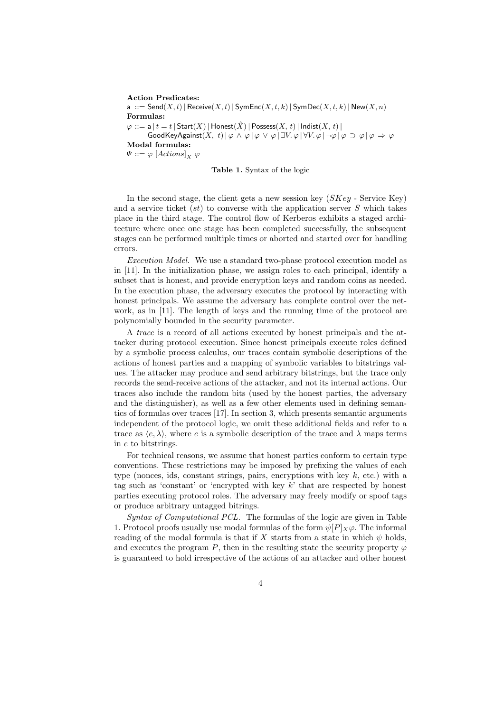Action Predicates: a  $:=$  Send $(X, t)$  | Receive $(X, t)$  | SymEnc $(X, t, k)$  | SymDec $(X, t, k)$  | New $(X, n)$ Formulas:  $\varphi ::= a | t = t | \text{Start}(X) |$  Honest $(\hat{X}) |$  Possess $(X, t) |$  Indist $(X, t) |$ GoodKeyAgainst $(X, t) | \varphi \wedge \varphi | \varphi \vee \varphi | \exists V \cdot \varphi | \forall V \cdot \varphi | \neg \varphi | \varphi \supset \varphi | \varphi \Rightarrow \varphi$ Modal formulas:  $\Psi ::= \varphi \left[ Actions \right]_{X} \varphi$ 

Table 1. Syntax of the logic

In the second stage, the client gets a new session key  $(SKey - Service Key)$ and a service ticket  $(st)$  to converse with the application server S which takes place in the third stage. The control flow of Kerberos exhibits a staged architecture where once one stage has been completed successfully, the subsequent stages can be performed multiple times or aborted and started over for handling errors.

Execution Model. We use a standard two-phase protocol execution model as in [11]. In the initialization phase, we assign roles to each principal, identify a subset that is honest, and provide encryption keys and random coins as needed. In the execution phase, the adversary executes the protocol by interacting with honest principals. We assume the adversary has complete control over the network, as in [11]. The length of keys and the running time of the protocol are polynomially bounded in the security parameter.

A trace is a record of all actions executed by honest principals and the attacker during protocol execution. Since honest principals execute roles defined by a symbolic process calculus, our traces contain symbolic descriptions of the actions of honest parties and a mapping of symbolic variables to bitstrings values. The attacker may produce and send arbitrary bitstrings, but the trace only records the send-receive actions of the attacker, and not its internal actions. Our traces also include the random bits (used by the honest parties, the adversary and the distinguisher), as well as a few other elements used in defining semantics of formulas over traces [17]. In section 3, which presents semantic arguments independent of the protocol logic, we omit these additional fields and refer to a trace as  $\langle e, \lambda \rangle$ , where e is a symbolic description of the trace and  $\lambda$  maps terms in e to bitstrings.

For technical reasons, we assume that honest parties conform to certain type conventions. These restrictions may be imposed by prefixing the values of each type (nonces, ids, constant strings, pairs, encryptions with key  $k$ , etc.) with a tag such as 'constant' or 'encrypted with key  $k$ ' that are respected by honest parties executing protocol roles. The adversary may freely modify or spoof tags or produce arbitrary untagged bitrings.

Syntax of Computational PCL. The formulas of the logic are given in Table 1. Protocol proofs usually use modal formulas of the form  $\psi[P]_X\varphi$ . The informal reading of the modal formula is that if X starts from a state in which  $\psi$  holds, and executes the program P, then in the resulting state the security property  $\varphi$ is guaranteed to hold irrespective of the actions of an attacker and other honest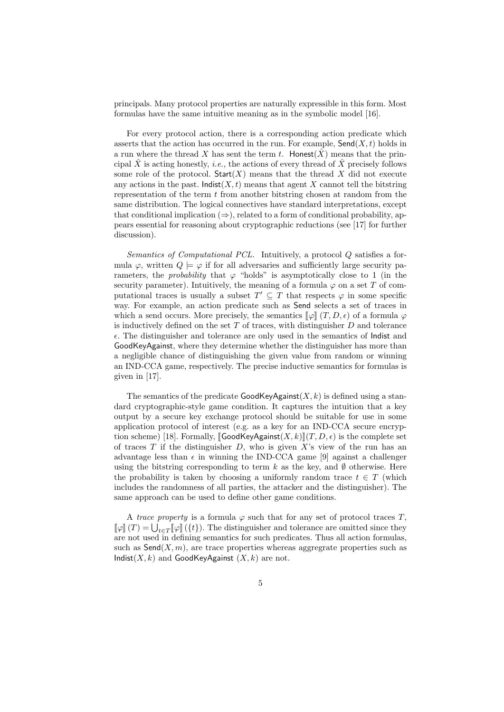principals. Many protocol properties are naturally expressible in this form. Most formulas have the same intuitive meaning as in the symbolic model [16].

For every protocol action, there is a corresponding action predicate which asserts that the action has occurred in the run. For example,  $\mathsf{Send}(X,t)$  holds in a run where the thread X has sent the term t. Honest $(\hat{X})$  means that the principal  $\hat{X}$  is acting honestly, *i.e.*, the actions of every thread of  $\hat{X}$  precisely follows some role of the protocol. Start $(X)$  means that the thread X did not execute any actions in the past. Indist $(X, t)$  means that agent X cannot tell the bitstring representation of the term t from another bitstring chosen at random from the same distribution. The logical connectives have standard interpretations, except that conditional implication  $(\Rightarrow)$ , related to a form of conditional probability, appears essential for reasoning about cryptographic reductions (see [17] for further discussion).

Semantics of Computational PCL. Intuitively, a protocol Q satisfies a formula  $\varphi$ , written  $\varphi \models \varphi$  if for all adversaries and sufficiently large security parameters, the *probability* that  $\varphi$  "holds" is asymptotically close to 1 (in the security parameter). Intuitively, the meaning of a formula  $\varphi$  on a set T of computational traces is usually a subset  $T' \subseteq T$  that respects  $\varphi$  in some specific way. For example, an action predicate such as Send selects a set of traces in which a send occurs. More precisely, the semantics  $\llbracket \varphi \rrbracket (T, D, \epsilon)$  of a formula  $\varphi$ is inductively defined on the set  $T$  of traces, with distinguisher  $D$  and tolerance  $\epsilon$ . The distinguisher and tolerance are only used in the semantics of **Indist** and GoodKeyAgainst, where they determine whether the distinguisher has more than a negligible chance of distinguishing the given value from random or winning an IND-CCA game, respectively. The precise inductive semantics for formulas is given in [17].

The semantics of the predicate  $\mathsf{GoodKevAgainst}(X, k)$  is defined using a standard cryptographic-style game condition. It captures the intuition that a key output by a secure key exchange protocol should be suitable for use in some application protocol of interest (e.g. as a key for an IND-CCA secure encryption scheme) [18]. Formally,  $\llbracket \mathsf{GoodKeyAgainst}(X, k) \rrbracket(T, D, \epsilon)$  is the complete set of traces  $T$  if the distinguisher  $D$ , who is given  $X$ 's view of the run has an advantage less than  $\epsilon$  in winning the IND-CCA game [9] against a challenger using the bitstring corresponding to term k as the key, and  $\emptyset$  otherwise. Here the probability is taken by choosing a uniformly random trace  $t \in T$  (which includes the randomness of all parties, the attacker and the distinguisher). The same approach can be used to define other game conditions.

A trace property is a formula  $\varphi$  such that for any set of protocol traces T,  $[\![\varphi]\!]$   $(T) = \bigcup_{t \in T} [\![\varphi]\!]$   $(\{t\})$ . The distinguisher and tolerance are omitted since they<br>are not used in defining semantise for such predicates. Thus all action formulas are not used in defining semantics for such predicates. Thus all action formulas, such as  $\mathsf{Send}(X,m)$ , are trace properties whereas aggregrate properties such as  $Indist(X, k)$  and GoodKeyAgainst  $(X, k)$  are not.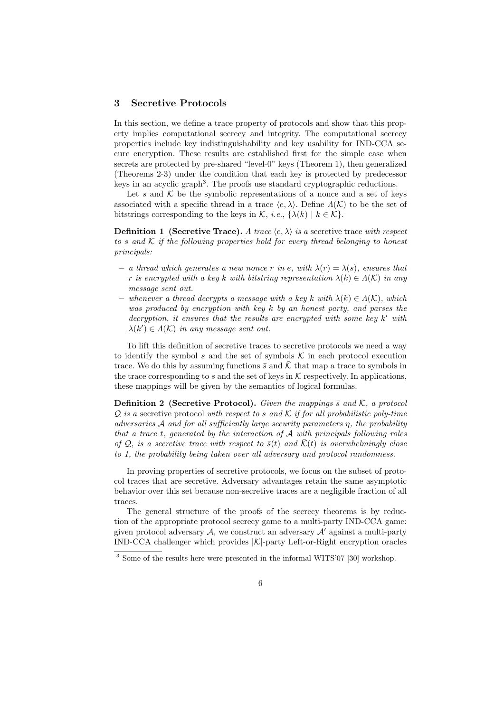## 3 Secretive Protocols

In this section, we define a trace property of protocols and show that this property implies computational secrecy and integrity. The computational secrecy properties include key indistinguishability and key usability for IND-CCA secure encryption. These results are established first for the simple case when secrets are protected by pre-shared "level-0" keys (Theorem 1), then generalized (Theorems 2-3) under the condition that each key is protected by predecessor keys in an acyclic graph<sup>3</sup>. The proofs use standard cryptographic reductions.

Let s and  $K$  be the symbolic representations of a nonce and a set of keys associated with a specific thread in a trace  $\langle e, \lambda \rangle$ . Define  $\Lambda(\mathcal{K})$  to be the set of bitstrings corresponding to the keys in K, *i.e.*,  $\{\lambda(k) \mid k \in \mathcal{K}\}.$ 

**Definition 1 (Secretive Trace).** A trace  $\langle e, \lambda \rangle$  is a secretive trace with respect to s and  $K$  if the following properties hold for every thread belonging to honest principals:

- $-$  a thread which generates a new nonce r in e, with  $\lambda(r) = \lambda(s)$ , ensures that r is encrypted with a key k with bitstring representation  $\lambda(k) \in \Lambda(\mathcal{K})$  in any message sent out.
- whenever a thread decrypts a message with a key k with  $\lambda(k) \in \Lambda(\mathcal{K})$ , which was produced by encryption with key k by an honest party, and parses the  $deryption, it ensures that the results are encrypted with some key k' with$  $\lambda(k') \in \Lambda(\mathcal{K})$  in any message sent out.

To lift this definition of secretive traces to secretive protocols we need a way to identify the symbol s and the set of symbols  $\mathcal K$  in each protocol execution trace. We do this by assuming functions  $\bar{s}$  and  $\bar{\mathcal{K}}$  that map a trace to symbols in the trace corresponding to s and the set of keys in  $K$  respectively. In applications, these mappings will be given by the semantics of logical formulas.

**Definition 2** (Secretive Protocol). Given the mappings  $\bar{s}$  and  $\bar{K}$ , a protocol  $Q$  is a secretive protocol with respect to s and K if for all probabilistic poly-time adversaries  $A$  and for all sufficiently large security parameters  $\eta$ , the probability that a trace t, generated by the interaction of  $\mathcal A$  with principals following roles of  $\mathcal{Q}$ , is a secretive trace with respect to  $\bar{s}(t)$  and  $\bar{\mathcal{K}}(t)$  is overwhelmingly close to 1, the probability being taken over all adversary and protocol randomness.

In proving properties of secretive protocols, we focus on the subset of protocol traces that are secretive. Adversary advantages retain the same asymptotic behavior over this set because non-secretive traces are a negligible fraction of all traces.

The general structure of the proofs of the secrecy theorems is by reduction of the appropriate protocol secrecy game to a multi-party IND-CCA game: given protocol adversary  $A$ , we construct an adversary  $A'$  against a multi-party IND-CCA challenger which provides |K|-party Left-or-Right encryption oracles

<sup>3</sup> Some of the results here were presented in the informal WITS'07 [30] workshop.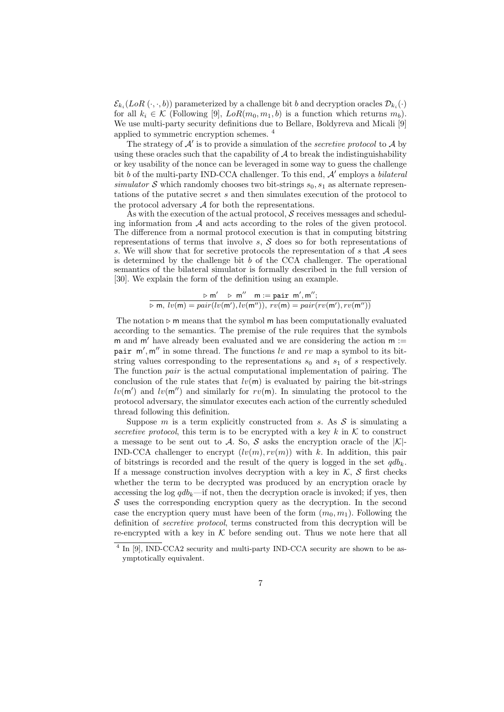$\mathcal{E}_{k_i}(LoR\ (\cdot,\cdot,b))$  parameterized by a challenge bit b and decryption oracles  $\mathcal{D}_{k_i}(\cdot)$ for all  $k_i \in \mathcal{K}$  (Following [9],  $LoR(m_0, m_1, b)$  is a function which returns  $m_b$ ). We use multi-party security definitions due to Bellare, Boldyreva and Micali [9] applied to symmetric encryption schemes. <sup>4</sup>

The strategy of  $A'$  is to provide a simulation of the *secretive protocol* to  $A$  by using these oracles such that the capability of  $\mathcal A$  to break the indistinguishability or key usability of the nonce can be leveraged in some way to guess the challenge bit b of the multi-party IND-CCA challenger. To this end,  $A'$  employs a bilateral simulator S which randomly chooses two bit-strings  $s_0, s_1$  as alternate representations of the putative secret s and then simulates execution of the protocol to the protocol adversary A for both the representations.

As with the execution of the actual protocol,  $\mathcal S$  receives messages and scheduling information from  $A$  and acts according to the roles of the given protocol. The difference from a normal protocol execution is that in computing bitstring representations of terms that involve  $s$ ,  $S$  does so for both representations of s. We will show that for secretive protocols the representation of s that  $A$  sees is determined by the challenge bit  $b$  of the CCA challenger. The operational semantics of the bilateral simulator is formally described in the full version of [30]. We explain the form of the definition using an example.

$$
\triangleright m' \triangleright m'' \dots = \text{pair } m', m'';
$$
  

$$
\triangleright m, \, \text{lv}(m) = \text{pair}(\text{lv}(m'), \text{lv}(m'')), \, \text{rv}(m) = \text{pair}(\text{rv}(m'), \text{rv}(m''))
$$

The notation  $\triangleright$  m means that the symbol m has been computationally evaluated according to the semantics. The premise of the rule requires that the symbols  $m$  and  $m'$  have already been evaluated and we are considering the action  $m :=$ pair  $m'$ ,  $m''$  in some thread. The functions lv and rv map a symbol to its bitstring values corresponding to the representations  $s_0$  and  $s_1$  of s respectively. The function pair is the actual computational implementation of pairing. The conclusion of the rule states that  $lv(m)$  is evaluated by pairing the bit-strings  $lv(m')$  and  $lv(m'')$  and similarly for  $rv(m)$ . In simulating the protocol to the protocol adversary, the simulator executes each action of the currently scheduled thread following this definition.

Suppose m is a term explicitly constructed from s. As  $S$  is simulating a secretive protocol, this term is to be encrypted with a key k in  $K$  to construct a message to be sent out to A. So, S asks the encryption oracle of the  $|K|$ -IND-CCA challenger to encrypt  $(lv(m), rv(m))$  with k. In addition, this pair of bitstrings is recorded and the result of the query is logged in the set  $qdb_k$ . If a message construction involves decryption with a key in  $K$ , S first checks whether the term to be decrypted was produced by an encryption oracle by accessing the log  $qdb_k$ —if not, then the decryption oracle is invoked; if yes, then  $\mathcal S$  uses the corresponding encryption query as the decryption. In the second case the encryption query must have been of the form  $(m_0, m_1)$ . Following the definition of secretive protocol, terms constructed from this decryption will be re-encrypted with a key in  $\mathcal K$  before sending out. Thus we note here that all

<sup>&</sup>lt;sup>4</sup> In [9], IND-CCA2 security and multi-party IND-CCA security are shown to be asymptotically equivalent.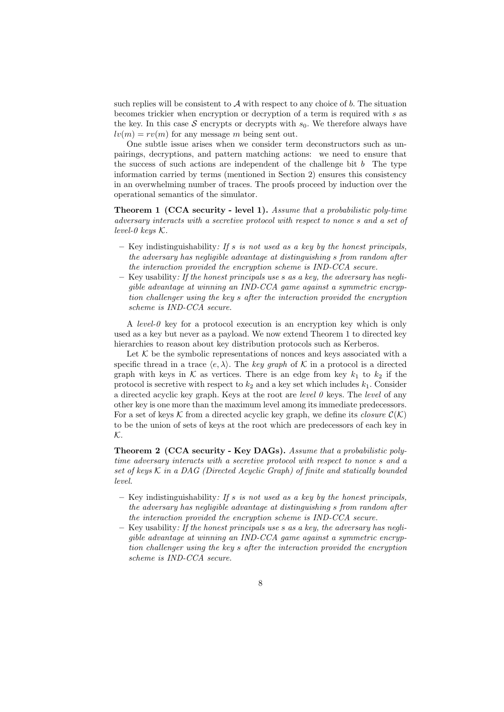such replies will be consistent to  $A$  with respect to any choice of  $b$ . The situation becomes trickier when encryption or decryption of a term is required with s as the key. In this case  $S$  encrypts or decrypts with  $s_0$ . We therefore always have  $lv(m) = rv(m)$  for any message m being sent out.

One subtle issue arises when we consider term deconstructors such as unpairings, decryptions, and pattern matching actions: we need to ensure that the success of such actions are independent of the challenge bit  $b$ . The type information carried by terms (mentioned in Section 2) ensures this consistency in an overwhelming number of traces. The proofs proceed by induction over the operational semantics of the simulator.

Theorem 1 (CCA security - level 1). Assume that a probabilistic poly-time adversary interacts with a secretive protocol with respect to nonce s and a set of  $level-0$  keys  $K$ .

- $-$  Key indistinguishability: If s is not used as a key by the honest principals, the adversary has negligible advantage at distinguishing s from random after the interaction provided the encryption scheme is IND-CCA secure.
- Key usability: If the honest principals use  $s$  as a key, the adversary has negligible advantage at winning an IND-CCA game against a symmetric encryption challenger using the key s after the interaction provided the encryption scheme is IND-CCA secure.

A level- $\theta$  key for a protocol execution is an encryption key which is only used as a key but never as a payload. We now extend Theorem 1 to directed key hierarchies to reason about key distribution protocols such as Kerberos.

Let  $K$  be the symbolic representations of nonces and keys associated with a specific thread in a trace  $\langle e, \lambda \rangle$ . The key graph of K in a protocol is a directed graph with keys in K as vertices. There is an edge from key  $k_1$  to  $k_2$  if the protocol is secretive with respect to  $k_2$  and a key set which includes  $k_1$ . Consider a directed acyclic key graph. Keys at the root are *level*  $\theta$  keys. The *level* of any other key is one more than the maximum level among its immediate predecessors. For a set of keys K from a directed acyclic key graph, we define its *closure*  $\mathcal{C}(\mathcal{K})$ to be the union of sets of keys at the root which are predecessors of each key in K.

Theorem 2 (CCA security - Key DAGs). Assume that a probabilistic polytime adversary interacts with a secretive protocol with respect to nonce s and a set of keys  $K$  in a DAG (Directed Acyclic Graph) of finite and statically bounded level.

- $-$  Key indistinguishability: If s is not used as a key by the honest principals, the adversary has negligible advantage at distinguishing s from random after the interaction provided the encryption scheme is IND-CCA secure.
- $-$  Key usability: If the honest principals use s as a key, the adversary has negligible advantage at winning an IND-CCA game against a symmetric encryption challenger using the key s after the interaction provided the encryption scheme is IND-CCA secure.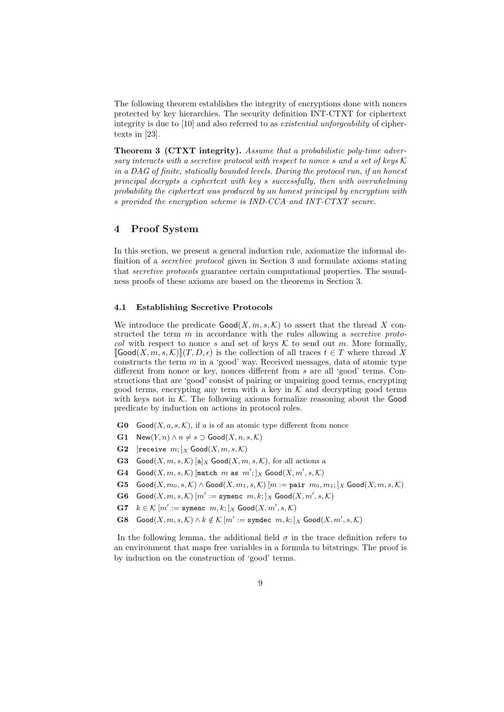The following theorem establishes the integrity of encryptions done with nonces protected by key hierarchies. The security definition INT-CTXT for ciphertext integrity is due to [10] and also referred to as existential unforgeability of ciphertexts in [23].

Theorem 3 (CTXT integrity). Assume that a probabilistic poly-time adversary interacts with a secretive protocol with respect to nonce s and a set of keys  $\mathcal K$ in a DAG of finite, statically bounded levels. During the protocol run, if an honest principal decrypts a ciphertext with key s successfully, then with overwhelming probability the ciphertext was produced by an honest principal by encryption with s provided the encryption scheme is IND-CCA and INT-CTXT secure.

# 4 Proof System

In this section, we present a general induction rule, axiomatize the informal definition of a *secretive protocol* given in Section 3 and formulate axioms stating that secretive protocols guarantee certain computational properties. The soundness proofs of these axioms are based on the theorems in Section 3.

#### 4.1 Establishing Secretive Protocols

We introduce the predicate  $\text{Good}(X, m, s, \mathcal{K})$  to assert that the thread X constructed the term  $m$  in accordance with the rules allowing a secretive protocol with respect to nonce s and set of keys  $\mathcal K$  to send out m. More formally,  $\mathsf{FGood}(X, m, s, \mathcal{K})||(T, D, \epsilon)$  is the collection of all traces  $t \in T$  where thread X constructs the term  $m$  in a 'good' way. Received messages, data of atomic type different from nonce or key, nonces different from s are all 'good' terms. Constructions that are 'good' consist of pairing or unpairing good terms, encrypting good terms, encrypting any term with a key in  $K$  and decrypting good terms with keys not in  $K$ . The following axioms formalize reasoning about the Good predicate by induction on actions in protocol roles.

- **G0** Good $(X, a, s, \mathcal{K})$ , if a is of an atomic type different from nonce
- G1 New $(Y, n) \wedge n \neq s \supset \mathsf{Good}(X, n, s, \mathcal{K})$
- G2 [receive  $m; |_X \text{Good}(X, m, s, \mathcal{K})$ ]
- **G3** Good $(X, m, s, \mathcal{K})$  [a]<sub>X</sub> Good $(X, m, s, \mathcal{K})$ , for all actions a
- $G4$   $Good(X, m, s, \mathcal{K})$  [match  $m$  as  $m';$ ]x  $Good(X, m', s, \mathcal{K})$
- G5  $\text{Good}(X, m_0, s, \mathcal{K}) \wedge \text{Good}(X, m_1, s, \mathcal{K})$   $[m := \text{pair } m_0, m_1;]_X \text{Good}(X, m, s, \mathcal{K})$
- $\mathbf{G6} \quad \mathsf{Good}(X,m,s,\mathcal{K}) \ [m' := \mathtt{symenc} \ \ m,k;]_X \ \mathsf{Good}(X,m',s,\mathcal{K})$
- $G7 \quad k \in \mathcal{K} \left[ m' := \texttt{symenc} \hspace{2mm} m, k \right]_X \texttt{Good}(X, m', s, \mathcal{K})$
- $\mathbf{G8}\quad \mathsf{Good}(X,m,s,\mathcal{K})\land k\notin \mathcal{K} \ [m':=\texttt{symdec}\ \ m,k;]_X\ \mathsf{Good}(X,m',s,\mathcal{K})$

In the following lemma, the additional field  $\sigma$  in the trace definition refers to an environment that maps free variables in a formula to bitstrings. The proof is by induction on the construction of 'good' terms.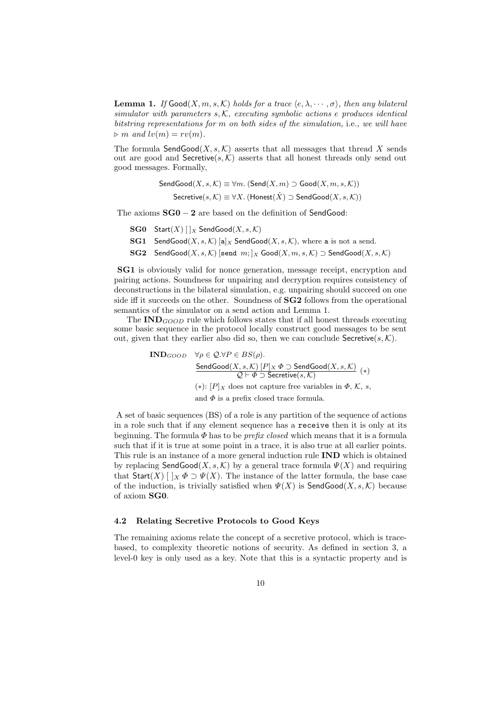**Lemma 1.** If  $\mathsf{Good}(X, m, s, \mathcal{K})$  holds for a trace  $\langle e, \lambda, \cdots, \sigma \rangle$ , then any bilateral simulator with parameters  $s, K$ , executing symbolic actions e produces identical bitstring representations for m on both sides of the simulation, i.e., we will have  $\triangleright$  m and  $lv(m) = rv(m)$ .

The formula  $\mathsf{SendGood}(X,s,\mathcal{K})$  asserts that all messages that thread X sends out are good and  $S$ ecretive $(s, K)$  asserts that all honest threads only send out good messages. Formally,

SendGood $(X, s, \mathcal{K}) \equiv \forall m$ . (Send $(X, m) \supset$  Good $(X, m, s, \mathcal{K})$ )

Secretive $(s, \mathcal{K}) \equiv \forall X$ . (Honest $(\hat{X}) \supset \mathsf{SendGood}(X, s, \mathcal{K})$ )

The axioms  $SG0 - 2$  are based on the definition of SendGood:

- $\textbf{SG0}$  Start $(X)$   $[ \ ]_X$  SendGood $(X, s, \mathcal{K})$
- **SG1** SendGood $(X, s, \mathcal{K})$  [a]<sub>X</sub> SendGood $(X, s, \mathcal{K})$ , where a is not a send.
- SG2 Send $\textsf{Good}(X, s, \mathcal{K})$  [send  $m;$ ] $_X \textsf{Good}(X, m, s, \mathcal{K}) \supset \textsf{SendGood}(X, s, \mathcal{K})$

SG1 is obviously valid for nonce generation, message receipt, encryption and pairing actions. Soundness for unpairing and decryption requires consistency of deconstructions in the bilateral simulation, e.g. unpairing should succeed on one side iff it succeeds on the other. Soundness of **SG2** follows from the operational semantics of the simulator on a send action and Lemma 1.

The  $\text{IND}_{GOOD}$  rule which follows states that if all honest threads executing some basic sequence in the protocol locally construct good messages to be sent out, given that they earlier also did so, then we can conclude Secretive( $s, K$ ).

> IND<sub>GOOD</sub>  $\forall \rho \in \mathcal{Q}.\forall P \in BS(\rho).$  $\mathsf{SendGood}(X,s,{\cal K})$   $[P]_X \varPhi \supset \mathsf{SendGood}(X,s,{\cal K})$  $Q \vdash \Phi$   $\supset$  Secretive(s, K) (\*) (\*):  $[P]_X$  does not capture free variables in  $\Phi$ , K, s, and  $\Phi$  is a prefix closed trace formula.

A set of basic sequences (BS) of a role is any partition of the sequence of actions in a role such that if any element sequence has a receive then it is only at its beginning. The formula  $\Phi$  has to be *prefix closed* which means that it is a formula such that if it is true at some point in a trace, it is also true at all earlier points. This rule is an instance of a more general induction rule **IND** which is obtained by replacing  $\mathsf{SendGood}(X,s,\mathcal{K})$  by a general trace formula  $\Psi(X)$  and requiring that  $\text{Start}(X) \mid \cdot \mid_X \Phi \supset \Psi(X)$ . The instance of the latter formula, the base case of the induction, is trivially satisfied when  $\Psi(X)$  is SendGood $(X, s, \mathcal{K})$  because of axiom SG0.

#### 4.2 Relating Secretive Protocols to Good Keys

The remaining axioms relate the concept of a secretive protocol, which is tracebased, to complexity theoretic notions of security. As defined in section 3, a level-0 key is only used as a key. Note that this is a syntactic property and is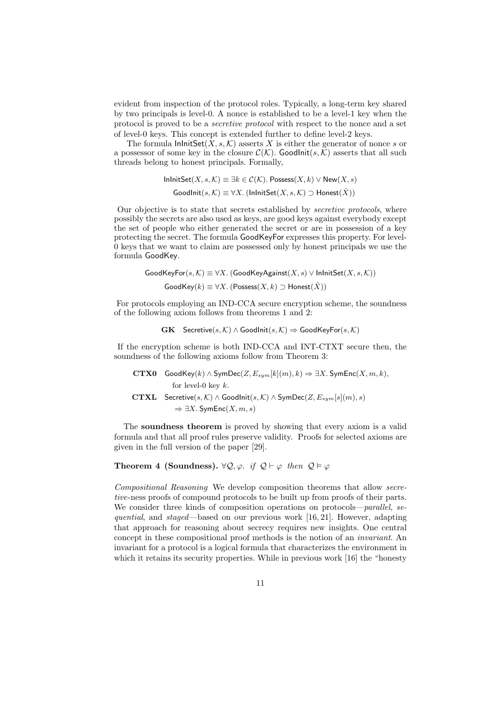evident from inspection of the protocol roles. Typically, a long-term key shared by two principals is level-0. A nonce is established to be a level-1 key when the protocol is proved to be a secretive protocol with respect to the nonce and a set of level-0 keys. This concept is extended further to define level-2 keys.

The formula InInitSet $(X, s, \mathcal{K})$  asserts X is either the generator of nonce s or a possessor of some key in the closure  $\mathcal{C}(\mathcal{K})$ . GoodInit $(s,\tilde{\mathcal{K}})$  asserts that all such threads belong to honest principals. Formally,

> InInitSet(X, s, K)  $\equiv \exists k \in \mathcal{C}(\mathcal{K})$ . Possess(X, k) ∨ New(X, s)  $GoodInit(s, \mathcal{K}) \equiv \forall X.$  (InInitSet(X, s, K)  $\supset$  Honest(X<sup> $\hat{X}$ </sup>))

Our objective is to state that secrets established by secretive protocols, where possibly the secrets are also used as keys, are good keys against everybody except the set of people who either generated the secret or are in possession of a key protecting the secret. The formula GoodKeyFor expresses this property. For level-0 keys that we want to claim are possessed only by honest principals we use the formula GoodKey.

$$
\begin{aligned} \mathsf{GoodKeyFor}(s,\mathcal{K}) &\equiv \forall X.~(\mathsf{GoodKeyAgainst}(X,s) \vee \mathsf{InInitSet}(X,s,\mathcal{K}))\\ \mathsf{GoodKey}(k) &\equiv \forall X.~(\mathsf{Possess}(X,k) \supset \mathsf{Honest}(\hat{X})) \end{aligned}
$$

For protocols employing an IND-CCA secure encryption scheme, the soundness of the following axiom follows from theorems 1 and 2:

$$
\mathbf{G}\mathbf{K} \quad \mathsf{Secretive}(s,\mathcal{K}) \land \mathsf{GoodInit}(s,\mathcal{K}) \Rightarrow \mathsf{GoodKeyFor}(s,\mathcal{K})
$$

If the encryption scheme is both IND-CCA and INT-CTXT secure then, the soundness of the following axioms follow from Theorem 3:

CTX0 GoodKey $(k)$  ∧ SymDec $(Z, E_{sym}[k](m), k)$  ⇒  $\exists X$ . SymEnc $(X, m, k)$ , for level-0 key  $k$ . CTXL Secretive $(s, \mathcal{K}) \wedge$  GoodInit $(s, \mathcal{K}) \wedge$  Sym $\text{Dec}(Z, E_{sym}[s](m), s)$  $\Rightarrow \exists X.$  SymEnc $(X, m, s)$ 

The soundness theorem is proved by showing that every axiom is a valid formula and that all proof rules preserve validity. Proofs for selected axioms are given in the full version of the paper [29].

Theorem 4 (Soundness).  $\forall Q, \varphi$ . if  $Q \vdash \varphi$  then  $Q \models \varphi$ 

Compositional Reasoning We develop composition theorems that allow secretive-ness proofs of compound protocols to be built up from proofs of their parts. We consider three kinds of composition operations on protocols—*parallel*, sequential, and staged—based on our previous work [16, 21]. However, adapting that approach for reasoning about secrecy requires new insights. One central concept in these compositional proof methods is the notion of an invariant. An invariant for a protocol is a logical formula that characterizes the environment in which it retains its security properties. While in previous work [16] the "honesty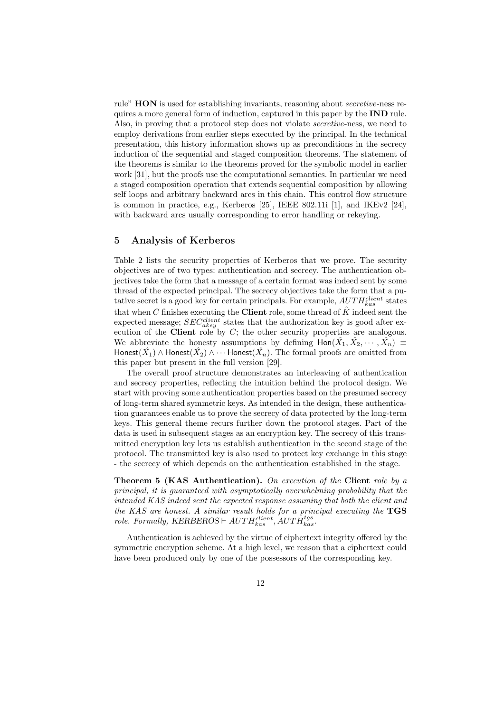rule" **HON** is used for establishing invariants, reasoning about *secretive*-ness requires a more general form of induction, captured in this paper by the **IND** rule. Also, in proving that a protocol step does not violate secretive-ness, we need to employ derivations from earlier steps executed by the principal. In the technical presentation, this history information shows up as preconditions in the secrecy induction of the sequential and staged composition theorems. The statement of the theorems is similar to the theorems proved for the symbolic model in earlier work [31], but the proofs use the computational semantics. In particular we need a staged composition operation that extends sequential composition by allowing self loops and arbitrary backward arcs in this chain. This control flow structure is common in practice, e.g., Kerberos [25], IEEE 802.11i [1], and IKEv2 [24], with backward arcs usually corresponding to error handling or rekeying.

### 5 Analysis of Kerberos

Table 2 lists the security properties of Kerberos that we prove. The security objectives are of two types: authentication and secrecy. The authentication objectives take the form that a message of a certain format was indeed sent by some thread of the expected principal. The secrecy objectives take the form that a putative secret is a good key for certain principals. For example,  $AUTH_{kas}^{client}$  states that when C finishes executing the Client role, some thread of  $\hat{K}$  indeed sent the expected message;  $SEC_{akey}^{client}$  states that the authorization key is good after execution of the Client role by  $C$ ; the other security properties are analogous. We abbreviate the honesty assumptions by defining  $\text{Hom}(\hat{X}_1, \hat{X}_2, \cdots, \hat{X}_n)$ Honest $(\hat{X_1})$  ∧ Honest $(\hat{X_2})$  ∧ $\cdots$  Honest $(\hat{X_n})$ . The formal proofs are omitted from this paper but present in the full version [29].

The overall proof structure demonstrates an interleaving of authentication and secrecy properties, reflecting the intuition behind the protocol design. We start with proving some authentication properties based on the presumed secrecy of long-term shared symmetric keys. As intended in the design, these authentication guarantees enable us to prove the secrecy of data protected by the long-term keys. This general theme recurs further down the protocol stages. Part of the data is used in subsequent stages as an encryption key. The secrecy of this transmitted encryption key lets us establish authentication in the second stage of the protocol. The transmitted key is also used to protect key exchange in this stage - the secrecy of which depends on the authentication established in the stage.

Theorem 5 (KAS Authentication). On execution of the Client role by a principal, it is guaranteed with asymptotically overwhelming probability that the intended KAS indeed sent the expected response assuming that both the client and the KAS are honest. A similar result holds for a principal executing the  $TGS$ role. Formally, KERBEROS  $\vdash$  AUTH $_{kas}^{client}$ , AUTH $_{kas}^{tgs}$ .

Authentication is achieved by the virtue of ciphertext integrity offered by the symmetric encryption scheme. At a high level, we reason that a ciphertext could have been produced only by one of the possessors of the corresponding key.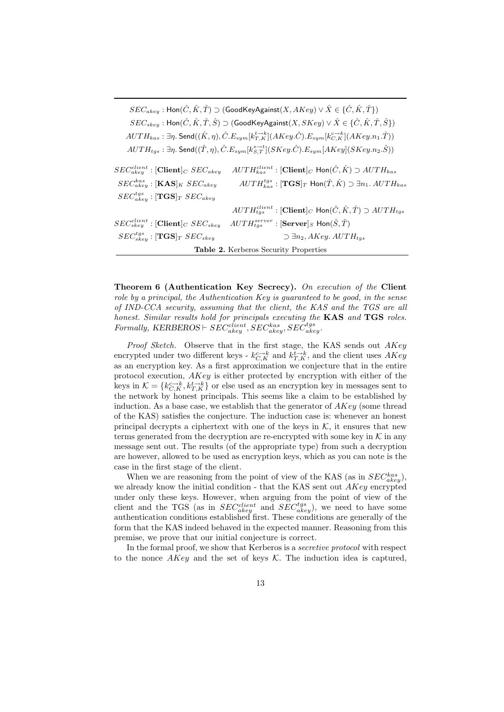$SEC_{akey} : \textsf{Hom}(\hat{C}, \hat{K}, \hat{T}) \supset (\textsf{GoodKeyAgainst}(X, AKey) \vee \hat{X} \in \{\hat{C}, \hat{K}, \hat{T}\})$  $SEC_{skey}:$  Hon $(\hat{C}, \hat{K}, \hat{T}, \hat{S}) \supset$  (GoodKeyAgainst $(X, SKey) \vee \hat{X} \in \{\hat{C}, \hat{K}, \hat{T}, \hat{S}\}\$  $AUTH_{kas}:\exists\eta.\ \mathsf{Send}((\hat{K},\eta),\hat{C}.E_{sym}[k_{T,K}^{t\to k}](AKey.\hat{C}).E_{sym}[k_{C,K}^{c\to k}](AKey.n_1.\hat{T}))$  $AUTH_{tgs}: \exists \eta.$  Send $((\hat{T},\eta),\hat{C}.E_{sym}[k_{S,T}^{s\to t}](SKey.\hat{C}).E_{sym}[AKey](SKey.n_2.\hat{S}))$  $SEC^{client}_{akey}: [{\bf Client}]_{C}\; SEC_{akey}\quad {AUTH^{client}_{kas}}$  $AUTH_{kas}^{client}:$   $[\mathbf{Client}]_C$   $\mathsf{Hon}(\hat{C}, \hat{K}) \supset AUTH_{kas}$  $SEC_{akey}^{kas} : [\mathbf{KAS}]_K$   $SEC_{akey}$   $AUTH_{kasy}^{tgs}$  $AUTH_{kas}^{tgs}$  :  $[{\mathbf{TGS}}]_T$  Hon $(\hat{T}, \hat{K}) \supset \exists n_1.\,AUTH_{kas}$  $SEC_{a key}^{tgs}: [\mathbf{TGS}]_T \: SEC_{a key}$  $AUTH_{tgs}^{client}:[{\rm Client}]_C$  Hon $(\hat{C},\hat{K},\hat{T})$   $\supset{AUTH_{tgs}}$  $SEC^{client}_{skey}: [\mathbf{Client}]_{C}\ \ SEC_{skey}\quad AUTH^{server}_{tgs}$  $AUTH^{server}_{tgs}: [{\bf Server}]_S$  Hon $(\hat{S}, \hat{T})$  $SEC_{s_{keu}}^{tgs}: [\mathbf{TGS}]_T$   $SEC_{skeu}$  $\supset \exists n_2, AKey. \, AUTH_{tags}$ Table 2. Kerberos Security Properties

Theorem 6 (Authentication Key Secrecy). On execution of the Client role by a principal, the Authentication Key is guaranteed to be good, in the sense of IND-CCA security, assuming that the client, the KAS and the TGS are all honest. Similar results hold for principals executing the KAS and TGS roles.  $Formally, KERBEROS \vdash SEC^{client}_{akey}, SEC^{kas}_{akey}, SEC^{tgs}_{akey}.$ 

Proof Sketch. Observe that in the first stage, the KAS sends out  $AKey$ encrypted under two different keys -  $k_{C,K}^{c\to k}$  and  $k_{T,K}^{t\to k}$ , and the client uses  $AKey$ as an encryption key. As a first approximation we conjecture that in the entire protocol execution, AKey is either protected by encryption with either of the keys in  $\mathcal{K} = \{k_{C,K}^{c\to k}, k_{T,K}^{t\to k}\}$  or else used as an encryption key in messages sent to the network by honest principals. This seems like a claim to be established by induction. As a base case, we establish that the generator of  $AKey$  (some thread of the KAS) satisfies the conjecture. The induction case is: whenever an honest principal decrypts a ciphertext with one of the keys in  $K$ , it ensures that new terms generated from the decryption are re-encrypted with some key in  $K$  in any message sent out. The results (of the appropriate type) from such a decryption are however, allowed to be used as encryption keys, which as you can note is the case in the first stage of the client.

When we are reasoning from the point of view of the KAS (as in  $SEC_{akey}^{kas})$ , we already know the initial condition - that the KAS sent out  $AKey$  encrypted under only these keys. However, when arguing from the point of view of the client and the TGS (as in  $SEC^{client}_{akey}$  and  $SEC^{tgs}_{akey}$ ), we need to have some authentication conditions established first. These conditions are generally of the form that the KAS indeed behaved in the expected manner. Reasoning from this premise, we prove that our initial conjecture is correct.

In the formal proof, we show that Kerberos is a secretive protocol with respect to the nonce  $AKey$  and the set of keys  $K$ . The induction idea is captured,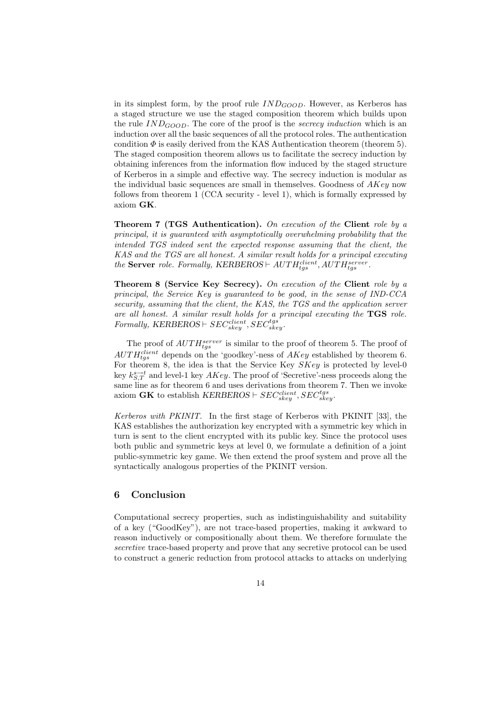in its simplest form, by the proof rule  $IND_{GOOD}$ . However, as Kerberos has a staged structure we use the staged composition theorem which builds upon the rule  $IND_{GOOD}$ . The core of the proof is the *secrecy induction* which is an induction over all the basic sequences of all the protocol roles. The authentication condition  $\Phi$  is easily derived from the KAS Authentication theorem (theorem 5). The staged composition theorem allows us to facilitate the secrecy induction by obtaining inferences from the information flow induced by the staged structure of Kerberos in a simple and effective way. The secrecy induction is modular as the individual basic sequences are small in themselves. Goodness of  $AKey$  now follows from theorem 1 (CCA security - level 1), which is formally expressed by axiom GK.

**Theorem 7 (TGS Authentication).** On execution of the Client role by a principal, it is guaranteed with asymptotically overwhelming probability that the intended TGS indeed sent the expected response assuming that the client, the KAS and the TGS are all honest. A similar result holds for a principal executing the Server role. Formally, KERBEROS  $\vdash$  AUT  $H_{tgs}^{client}$ , AUT  $H_{tgs}^{server}$ .

Theorem 8 (Service Key Secrecy). On execution of the Client role by a principal, the Service Key is guaranteed to be good, in the sense of IND-CCA security, assuming that the client, the KAS, the TGS and the application server are all honest. A similar result holds for a principal executing the TGS role.  $Formally, KERBEROS \vdash SEC^{client}_{skey}, SEC^{tgs}_{skey}.$ 

The proof of  $AUTH_{tgs}^{server}$  is similar to the proof of theorem 5. The proof of  $AUTH_{tgs}^{client}$  depends on the 'goodkey'-ness of  $AKey$  established by theorem 6. For theorem 8, the idea is that the Service Key  $SKey$  is protected by level-0 key  $k_{S,T}^{s\rightarrow t}$  and level-1 key  $AKey$ . The proof of 'Secretive'-ness proceeds along the same line as for theorem 6 and uses derivations from theorem 7. Then we invoke axiom GK to establish KERBEROS  $\vdash \textit{SEC}_\textit{skey}^\textit{client}, \textit{SEC}_\textit{skey}^\textit{tsg}$ 

Kerberos with PKINIT. In the first stage of Kerberos with PKINIT [33], the KAS establishes the authorization key encrypted with a symmetric key which in turn is sent to the client encrypted with its public key. Since the protocol uses both public and symmetric keys at level 0, we formulate a definition of a joint public-symmetric key game. We then extend the proof system and prove all the syntactically analogous properties of the PKINIT version.

## 6 Conclusion

Computational secrecy properties, such as indistinguishability and suitability of a key ("GoodKey"), are not trace-based properties, making it awkward to reason inductively or compositionally about them. We therefore formulate the secretive trace-based property and prove that any secretive protocol can be used to construct a generic reduction from protocol attacks to attacks on underlying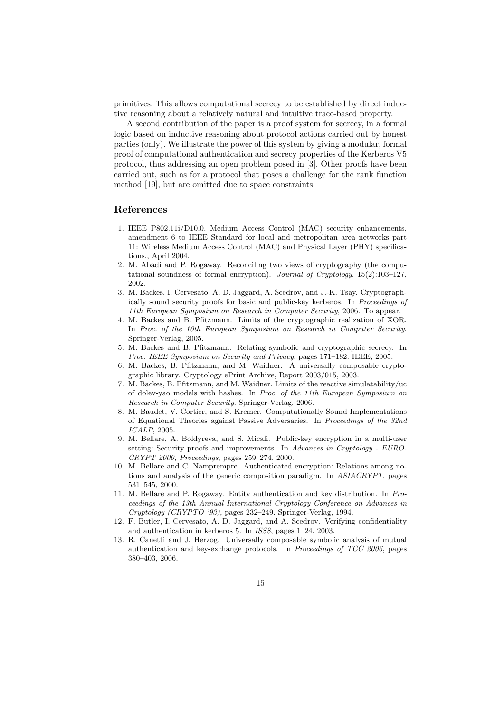primitives. This allows computational secrecy to be established by direct inductive reasoning about a relatively natural and intuitive trace-based property.

A second contribution of the paper is a proof system for secrecy, in a formal logic based on inductive reasoning about protocol actions carried out by honest parties (only). We illustrate the power of this system by giving a modular, formal proof of computational authentication and secrecy properties of the Kerberos V5 protocol, thus addressing an open problem posed in [3]. Other proofs have been carried out, such as for a protocol that poses a challenge for the rank function method [19], but are omitted due to space constraints.

### References

- 1. IEEE P802.11i/D10.0. Medium Access Control (MAC) security enhancements, amendment 6 to IEEE Standard for local and metropolitan area networks part 11: Wireless Medium Access Control (MAC) and Physical Layer (PHY) specifications., April 2004.
- 2. M. Abadi and P. Rogaway. Reconciling two views of cryptography (the computational soundness of formal encryption). Journal of Cryptology, 15(2):103–127, 2002.
- 3. M. Backes, I. Cervesato, A. D. Jaggard, A. Scedrov, and J.-K. Tsay. Cryptographically sound security proofs for basic and public-key kerberos. In Proceedings of 11th European Symposium on Research in Computer Security, 2006. To appear.
- 4. M. Backes and B. Pfitzmann. Limits of the cryptographic realization of XOR. In Proc. of the 10th European Symposium on Research in Computer Security. Springer-Verlag, 2005.
- 5. M. Backes and B. Pfitzmann. Relating symbolic and cryptographic secrecy. In Proc. IEEE Symposium on Security and Privacy, pages 171–182. IEEE, 2005.
- 6. M. Backes, B. Pfitzmann, and M. Waidner. A universally composable cryptographic library. Cryptology ePrint Archive, Report 2003/015, 2003.
- 7. M. Backes, B. Pfitzmann, and M. Waidner. Limits of the reactive simulatability/uc of dolev-yao models with hashes. In Proc. of the 11th European Symposium on Research in Computer Security. Springer-Verlag, 2006.
- 8. M. Baudet, V. Cortier, and S. Kremer. Computationally Sound Implementations of Equational Theories against Passive Adversaries. In Proceedings of the 32nd ICALP, 2005.
- 9. M. Bellare, A. Boldyreva, and S. Micali. Public-key encryption in a multi-user setting: Security proofs and improvements. In Advances in Cryptology - EURO-CRYPT 2000, Proceedings, pages 259–274, 2000.
- 10. M. Bellare and C. Namprempre. Authenticated encryption: Relations among notions and analysis of the generic composition paradigm. In ASIACRYPT, pages 531–545, 2000.
- 11. M. Bellare and P. Rogaway. Entity authentication and key distribution. In Proceedings of the 13th Annual International Cryptology Conference on Advances in Cryptology (CRYPTO '93), pages 232–249. Springer-Verlag, 1994.
- 12. F. Butler, I. Cervesato, A. D. Jaggard, and A. Scedrov. Verifying confidentiality and authentication in kerberos 5. In ISSS, pages 1–24, 2003.
- 13. R. Canetti and J. Herzog. Universally composable symbolic analysis of mutual authentication and key-exchange protocols. In Proceedings of TCC 2006, pages 380–403, 2006.